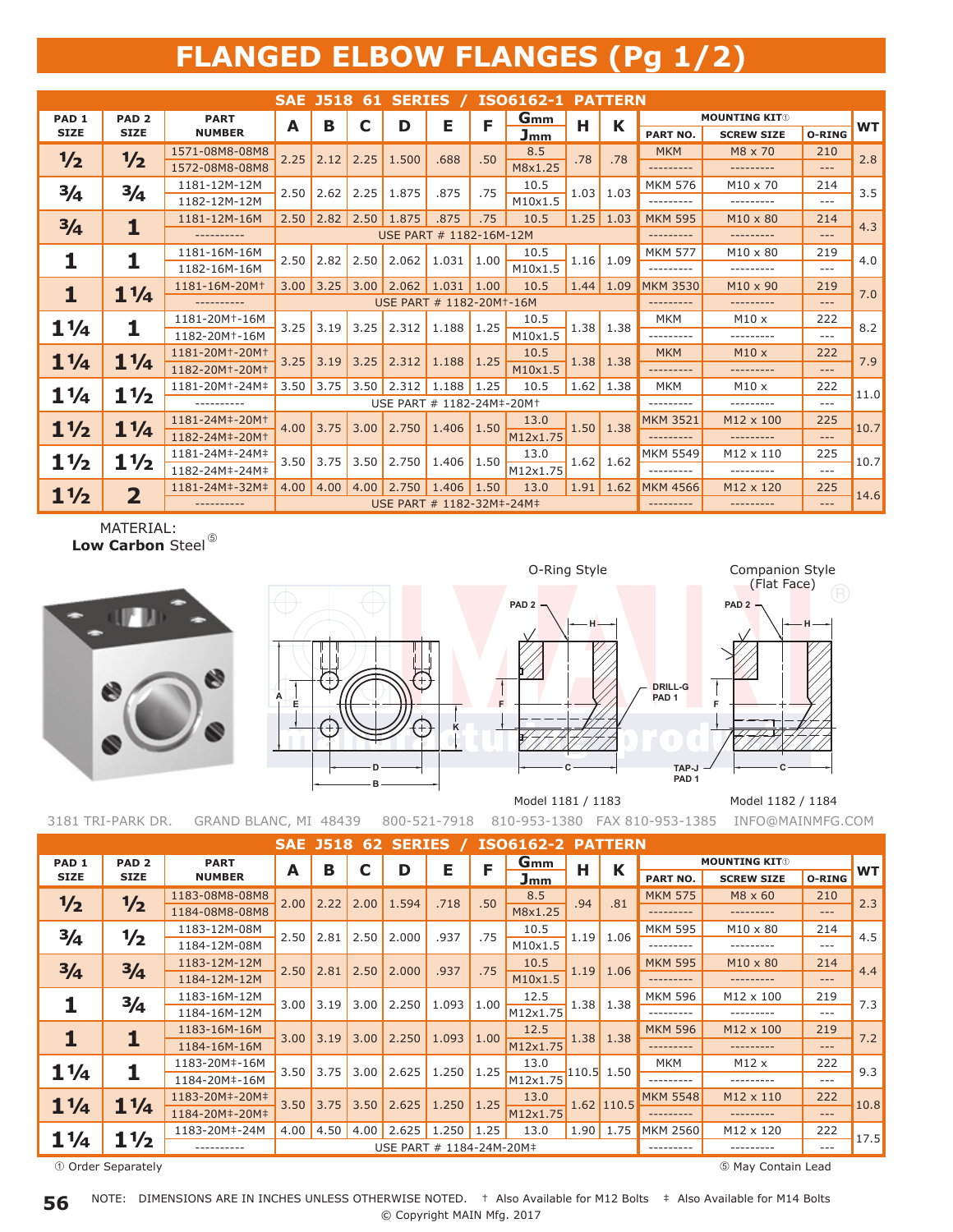## **FLANGED ELBOW FLANGES (Pg 1/2)**

|                  |                         |                                         |      |                                       |      |                              | <b>SAE J518 61 SERIES /</b><br>ISO6162-1 PATTERN |      |            |             |                  |                      |                   |          |           |
|------------------|-------------------------|-----------------------------------------|------|---------------------------------------|------|------------------------------|--------------------------------------------------|------|------------|-------------|------------------|----------------------|-------------------|----------|-----------|
| PAD <sub>1</sub> | PAD <sub>2</sub>        | <b>PART</b>                             | A    | в                                     | C    | D                            | Е                                                | F    | <b>Gmm</b> | н           | К                | <b>MOUNTING KIT®</b> |                   |          |           |
| <b>SIZE</b>      | <b>SIZE</b>             | <b>NUMBER</b>                           |      |                                       |      |                              |                                                  |      | Jmm        |             |                  | <b>PART NO.</b>      | <b>SCREW SIZE</b> | O-RING   | <b>WT</b> |
| $\frac{1}{2}$    | $\frac{1}{2}$           | 1571-08M8-08M8                          | 2.25 | 2.12                                  | 2.25 | 1.500                        | .688                                             | .50  | 8.5        | .78         | .78              | <b>MKM</b>           | M8 x 70           | 210      | 2.8       |
|                  |                         | 1572-08M8-08M8                          |      |                                       |      |                              |                                                  |      | M8x1.25    |             |                  | .                    | ---------         | $---$    |           |
| $\frac{3}{4}$    | 3/4                     | 1181-12M-12M                            | 2.50 | 2.62                                  | 2.25 | 1.875                        | .875                                             | .75  | 10.5       | 1.03        | 1.03             | <b>MKM 576</b>       | $M10 \times 70$   | 214      | 3.5       |
|                  |                         | 1182-12M-12M                            |      |                                       |      |                              |                                                  |      | M10x1.5    |             |                  | .                    | ---------         | $---$    |           |
| $\frac{3}{4}$    | 1                       | 1181-12M-16M                            |      |                                       |      | $2.50$   2.82   2.50   1.875 | .875                                             | .75  | 10.5       |             | $1.25$ 1.03      | <b>MKM 595</b>       | $M10 \times 80$   | 214      | 4.3       |
|                  |                         | ----------                              |      |                                       |      | USE PART # 1182-16M-12M      |                                                  |      |            |             |                  | ---------            | ---------         | $- - -$  |           |
| 1                | 1                       | 1181-16M-16M                            | 2.50 | 2.82                                  | 2.50 | 2.062                        | 1.031                                            | 1.00 | 10.5       | 1.16        |                  | <b>MKM 577</b>       | $M10 \times 80$   | 219      | 4.0       |
|                  |                         | 1182-16M-16M                            |      |                                       |      |                              |                                                  |      | M10x1.5    |             | 1.09             | .                    | ---------         | $---$    |           |
| 1                | $1\frac{1}{4}$          | 1181-16M-20M <sup>+</sup>               | 3.00 | 3.25                                  | 3.00 | 2.062                        | 1.031                                            | 1.00 | 10.5       |             | $1.44 \mid 1.09$ | <b>MKM 3530</b>      | $M10 \times 90$   | 219      | 7.0       |
|                  |                         |                                         |      | USE PART # 1182-20M <sup>+</sup> -16M |      |                              |                                                  |      |            |             |                  |                      | ---------         | $---$    |           |
| $1\frac{1}{4}$   | 1                       | 1181-20M <sup>+</sup> -16M              | 3.25 | 3.19                                  | 3.25 | 2.312                        | 1.188                                            | 1.25 | 10.5       |             | $1.38$ 1.38      | <b>MKM</b>           | $M10 \times$      | 222      | 8.2       |
|                  |                         | 1182-20M <sup>+</sup> -16M              |      |                                       |      |                              |                                                  |      | M10x1.5    |             |                  |                      | .                 | $---$    |           |
| $1\frac{1}{4}$   | $1\frac{1}{4}$          | 1181-20M <sup>+</sup> -20M <sup>+</sup> | 3.25 | 3.19                                  | 3.25 | 2.312                        | 1.188                                            | 1.25 | 10.5       | 1.38        | 1.38             | <b>MKM</b>           | M10x              | 222      | 7.9       |
|                  |                         | 1182-20M+-20M+                          |      |                                       |      |                              |                                                  |      | M10x1.5    |             |                  | -------              | .                 | $\cdots$ |           |
| $1\frac{1}{4}$   | $1\frac{1}{2}$          | 1181-20M <sup>+</sup> -24M <sup>#</sup> | 3.50 | 3.75                                  | 3.50 | 2.312                        | 1.188                                            | 1.25 | 10.5       | 1.62        | 1.38             | <b>MKM</b>           | M10x              | 222      | 11.0      |
|                  |                         | ----------                              |      |                                       |      | USE PART # 1182-24M#-20M+    |                                                  |      |            | .           | .                | $- - -$              |                   |          |           |
| $1\frac{1}{2}$   | $1\frac{1}{4}$          | 1181-24M#-20M+                          | 4.00 | 3.75                                  | 3.00 | 2.750                        | 1.406                                            | 1.50 | 13.0       | 1.50        | 1.38             | <b>MKM 3521</b>      | M12 x 100         | 225      | 10.7      |
|                  |                         | 1182-24M#-20M+                          |      |                                       |      |                              |                                                  |      | M12x1.75   |             |                  | ---------            | ---------         | $---$    |           |
| $1\frac{1}{2}$   | $1\frac{1}{2}$          | 1181-24M#-24M#                          | 3.50 | 3.75                                  | 3.50 | 2.750                        | 1.406                                            | 1.50 | 13.0       |             | $1.62$ 1.62      | <b>MKM 5549</b>      | M12 x 110         | 225      | 10.7      |
|                  |                         | 1182-24M‡-24M‡                          |      |                                       |      |                              |                                                  |      | M12x1.75   |             |                  | ---------            | .                 | $---$    |           |
| $1\frac{1}{2}$   | $\overline{\mathbf{2}}$ | 1181-24M#-32M#                          | 4.00 | 4.00                                  | 4.00 | 2.750                        | 1.406                                            | 1.50 | 13.0       | $1.91$ 1.62 |                  | <b>MKM 4566</b>      | M12 x 120         | 225      | 14.6      |
|                  |                         | ----------                              |      | USE PART # 1182-32M#-24M#             |      |                              |                                                  |      |            |             |                  | ---------            | ---------         | $- - -$  |           |

MATERIAL: Low Carbon Steel<sup>®</sup>





**PAD 2 PAD 2**



Model 1181 / 1183 Model 1182 / 1184

**C**

3181 TRI-PARK DR. GRAND BLANC, MI 48439 800-521-7918 810-953-1380 FAX 810-953-1385 INFO@MAINMFG.COM

| PAD <sub>2</sub> | <b>PART</b>                                                            |      |                                                           |                                           |                                      |                                                |                             | G <sub>mm</sub>          |                          |                                  | <b>MOUNTING KITO</b>                                                                    |                                        |         |           |
|------------------|------------------------------------------------------------------------|------|-----------------------------------------------------------|-------------------------------------------|--------------------------------------|------------------------------------------------|-----------------------------|--------------------------|--------------------------|----------------------------------|-----------------------------------------------------------------------------------------|----------------------------------------|---------|-----------|
| <b>SIZE</b>      | <b>NUMBER</b>                                                          |      |                                                           |                                           |                                      |                                                |                             | Jmm                      |                          |                                  | PART NO.                                                                                | <b>SCREW SIZE</b>                      | O-RING  | <b>WT</b> |
|                  | 1183-08M8-08M8                                                         |      | 2.22                                                      | 2.00                                      | 1.594                                |                                                |                             | 8.5                      |                          |                                  | <b>MKM 575</b>                                                                          | M8 x 60                                | 210     | 2.3       |
|                  | 1184-08M8-08M8                                                         |      |                                                           |                                           |                                      |                                                |                             | M8x1.25                  |                          |                                  |                                                                                         | ---------                              | $---$   |           |
|                  | 1183-12M-08M                                                           |      |                                                           |                                           |                                      | .937                                           | .75                         | 10.5                     |                          |                                  | <b>MKM 595</b>                                                                          | $M10 \times 80$                        | 214     | 4.5       |
|                  | 1184-12M-08M                                                           |      |                                                           |                                           |                                      |                                                |                             | M10x1.5                  |                          |                                  | .                                                                                       | . <u>.</u>                             | $- - -$ |           |
|                  | 1183-12M-12M                                                           |      | 2.81                                                      | 2.50                                      | 2.000                                | .937                                           | .75                         | 10.5                     |                          | 1.06                             | <b>MKM 595</b>                                                                          | $M10 \times 80$                        | 214     | 4.4       |
|                  | 1184-12M-12M                                                           |      |                                                           |                                           |                                      |                                                |                             | M10x1.5                  |                          |                                  | ---------                                                                               | ---------                              | $- - -$ |           |
|                  | 1183-16M-12M                                                           |      |                                                           |                                           |                                      |                                                |                             | 12.5                     |                          |                                  | <b>MKM 596</b>                                                                          | M12 x 100                              | 219     | 7.3       |
|                  | 1184-16M-12M                                                           |      |                                                           |                                           |                                      |                                                |                             | M12x1.75                 |                          |                                  |                                                                                         |                                        | $---$   |           |
|                  | 1183-16M-16M                                                           |      |                                                           |                                           |                                      | 1.093                                          | 1.00                        | 12.5                     |                          |                                  | <b>MKM 596</b>                                                                          | M12 x 100                              | 219     | 7.2       |
|                  | 1184-16M-16M                                                           |      |                                                           |                                           |                                      |                                                |                             | M12x1.75                 |                          |                                  | ---------                                                                               | ---------                              | $---$   |           |
|                  | 1183-20M#-16M                                                          |      |                                                           |                                           |                                      | 1.250                                          | 1.25                        | 13.0                     |                          |                                  | <b>MKM</b>                                                                              | M12x                                   | 222     | 9.3       |
|                  | 1184-20M#-16M                                                          |      |                                                           |                                           |                                      |                                                |                             | M12x1.75                 |                          |                                  | . <u>.</u> .                                                                            | ---------                              | $---$   |           |
|                  | 1183-20M#-20M#                                                         |      |                                                           |                                           |                                      |                                                |                             | 13.0                     |                          |                                  | <b>MKM 5548</b>                                                                         | M12 x 110                              | 222     | 10.8      |
|                  | 1184-20M#-20M#                                                         |      |                                                           |                                           |                                      |                                                |                             | M12x1.75                 |                          |                                  |                                                                                         |                                        | $---$   |           |
|                  | 1183-20M#-24M                                                          | 4.00 | 4.50                                                      | 4.00                                      | 2.625                                | 1.250                                          | 1.25                        | 13.0                     |                          |                                  | <b>MKM 2560</b>                                                                         | M12 x 120                              | 222     | 17.5      |
|                  |                                                                        |      |                                                           |                                           |                                      |                                                |                             |                          |                          |                                  |                                                                                         |                                        | $---$   |           |
|                  | 1/2<br>1/2<br>3/4<br>$\frac{3}{4}$<br>$1\frac{1}{4}$<br>$1\frac{1}{2}$ |      | A<br>2.00<br>2.50<br>2.50<br>3.00<br>3.00<br>3.50<br>3.50 | в<br>2.81<br>3.19<br>3.19<br>3.75<br>3.75 | 2.50<br>3.00<br>3.00<br>3.00<br>3.50 | D<br>2.000<br>2.250<br>2.250<br>2.625<br>2.625 | Е<br>.718<br>1.093<br>1.250 | F<br>.50<br>1.00<br>1.25 | USE PART # 1184-24M-20M# | Н<br>.94<br>1.19<br>1.19<br>1.38 | K<br>.81<br>1.06<br>1.38<br>1.38<br>1.38<br>$110.5$ 1.50<br>$1.62$ 110.5<br>$1.90$ 1.75 | SAE J518 62 SERIES / ISO6162-2 PATTERN |         |           |

Order Separately

May Contain Lead

© Copyright MAIN Mfg. 2017 NOTE: DIMENSIONS ARE IN INCHES UNLESS OTHERWISE NOTED. † Also Available for M12 Bolts ‡ Also Available for M14 Bolts